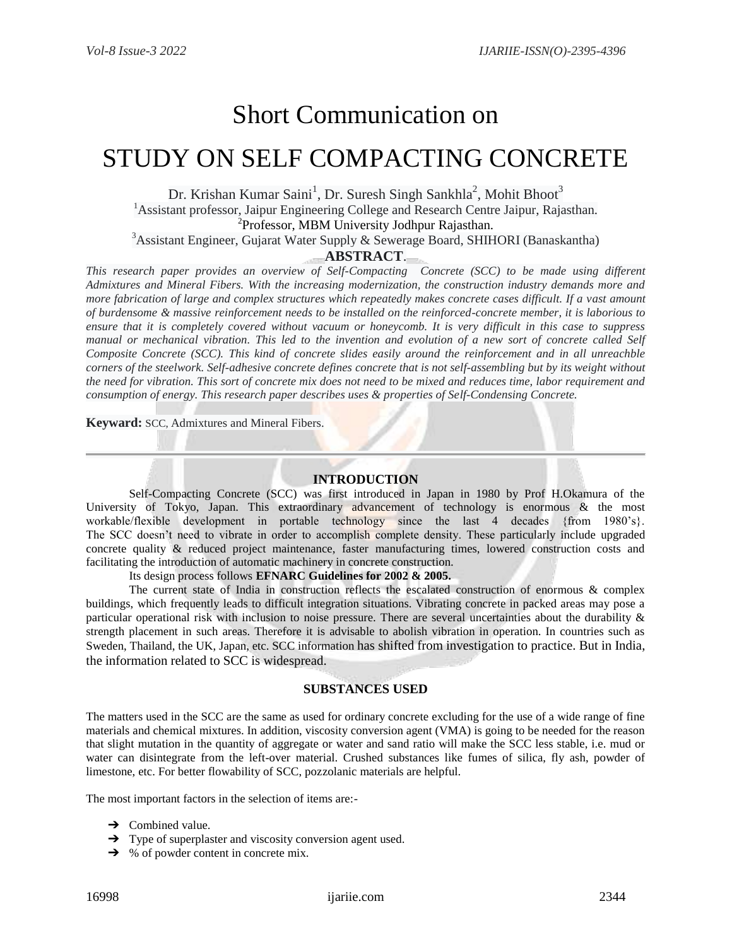# Short Communication on

# STUDY ON SELF COMPACTING CONCRETE

Dr. Krishan Kumar Saini<sup>1</sup>, Dr. Suresh Singh Sankhla<sup>2</sup>, Mohit Bhoot<sup>3</sup> <sup>1</sup> Assistant professor, Jaipur Engineering College and Research Centre Jaipur, Rajasthan. 2 Professor, MBM University Jodhpur Rajasthan.

<sup>3</sup>Assistant Engineer, Gujarat Water Supply & Sewerage Board, SHIHORI (Banaskantha)

## **ABSTRACT**.

*This research paper provides an overview of Self-Compacting Concrete (SCC) to be made using different Admixtures and Mineral Fibers. With the increasing modernization, the construction industry demands more and more fabrication of large and complex structures which repeatedly makes concrete cases difficult. If a vast amount of burdensome & massive reinforcement needs to be installed on the reinforced-concrete member, it is laborious to ensure that it is completely covered without vacuum or honeycomb. It is very difficult in this case to suppress manual or mechanical vibration. This led to the invention and evolution of a new sort of concrete called Self Composite Concrete (SCC). This kind of concrete slides easily around the reinforcement and in all unreachble corners of the steelwork. Self-adhesive concrete defines concrete that is not self-assembling but by its weight without the need for vibration. This sort of concrete mix does not need to be mixed and reduces time, labor requirement and consumption of energy. This research paper describes uses & properties of Self-Condensing Concrete.*

**Keyward:** SCC, Admixtures and Mineral Fibers.

### **INTRODUCTION**

Self-Compacting Concrete (SCC) was first introduced in Japan in 1980 by Prof H.Okamura of the University of Tokyo, Japan. This extraordinary advancement of technology is enormous & the most workable/flexible development in portable technology since the last 4 decades {from 1980's}. The SCC doesn't need to vibrate in order to accomplish complete density. These particularly include upgraded concrete quality & reduced project maintenance, faster manufacturing times, lowered construction costs and facilitating the introduction of automatic machinery in concrete construction.

Its design process follows **EFNARC Guidelines for 2002 & 2005.**

The current state of India in construction reflects the escalated construction of enormous & complex buildings, which frequently leads to difficult integration situations. Vibrating concrete in packed areas may pose a particular operational risk with inclusion to noise pressure. There are several uncertainties about the durability & strength placement in such areas. Therefore it is advisable to abolish vibration in operation. In countries such as Sweden, Thailand, the UK, Japan, etc. SCC information has shifted from investigation to practice. But in India, the information related to SCC is widespread.

#### **SUBSTANCES USED**

The matters used in the SCC are the same as used for ordinary concrete excluding for the use of a wide range of fine materials and chemical mixtures. In addition, viscosity conversion agent (VMA) is going to be needed for the reason that slight mutation in the quantity of aggregate or water and sand ratio will make the SCC less stable, i.e. mud or water can disintegrate from the left-over material. Crushed substances like fumes of silica, fly ash, powder of limestone, etc. For better flowability of SCC, pozzolanic materials are helpful.

The most important factors in the selection of items are:-

- $\rightarrow$  Combined value.
- **→** Type of superplaster and viscosity conversion agent used.
- $\rightarrow$  % of powder content in concrete mix.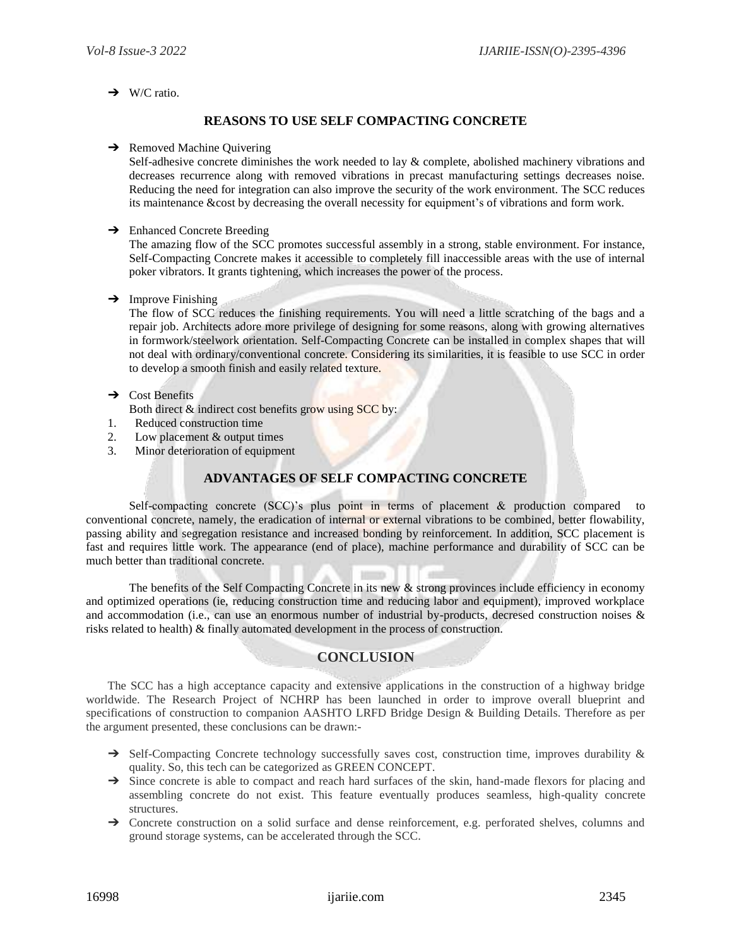$\rightarrow$  W/C ratio.

## **REASONS TO USE SELF COMPACTING CONCRETE**

#### $\rightarrow$  Removed Machine Quivering

Self-adhesive concrete diminishes the work needed to lay & complete, abolished machinery vibrations and decreases recurrence along with removed vibrations in precast manufacturing settings decreases noise. Reducing the need for integration can also improve the security of the work environment. The SCC reduces its maintenance &cost by decreasing the overall necessity for equipment's of vibrations and form work.

#### **→** Enhanced Concrete Breeding

The amazing flow of the SCC promotes successful assembly in a strong, stable environment. For instance, Self-Compacting Concrete makes it accessible to completely fill inaccessible areas with the use of internal poker vibrators. It grants tightening, which increases the power of the process.

#### $\rightarrow$  Improve Finishing

The flow of SCC reduces the finishing requirements. You will need a little scratching of the bags and a repair job. Architects adore more privilege of designing for some reasons, along with growing alternatives in formwork/steelwork orientation. Self-Compacting Concrete can be installed in complex shapes that will not deal with ordinary/conventional concrete. Considering its similarities, it is feasible to use SCC in order to develop a smooth finish and easily related texture.

#### $\rightarrow$  Cost Benefits

- Both direct  $\&$  indirect cost benefits grow using SCC by:
- 1. Reduced construction time
- 2. Low placement & output times
- 3. Minor deterioration of equipment

## **ADVANTAGES OF SELF COMPACTING CONCRETE**

Self-compacting concrete (SCC)'s plus point in terms of placement & production compared to conventional concrete, namely, the eradication of internal or external vibrations to be combined, better flowability, passing ability and segregation resistance and increased bonding by reinforcement. In addition, SCC placement is fast and requires little work. The appearance (end of place), machine performance and durability of SCC can be much better than traditional concrete.

The benefits of the Self Compacting Concrete in its new  $\&$  strong provinces include efficiency in economy and optimized operations (ie, reducing construction time and reducing labor and equipment), improved workplace and accommodation (i.e., can use an enormous number of industrial by-products, decresed construction noises & risks related to health) & finally automated development in the process of construction.

### **CONCLUSION**

The SCC has a high acceptance capacity and extensive applications in the construction of a highway bridge worldwide. The Research Project of NCHRP has been launched in order to improve overall blueprint and specifications of construction to companion AASHTO LRFD Bridge Design & Building Details. Therefore as per the argument presented, these conclusions can be drawn:-

- → Self-Compacting Concrete technology successfully saves cost, construction time, improves durability & quality. So, this tech can be categorized as GREEN CONCEPT.
- → Since concrete is able to compact and reach hard surfaces of the skin, hand-made flexors for placing and assembling concrete do not exist. This feature eventually produces seamless, high-quality concrete structures.
- ➔ Concrete construction on a solid surface and dense reinforcement, e.g. perforated shelves, columns and ground storage systems, can be accelerated through the SCC.